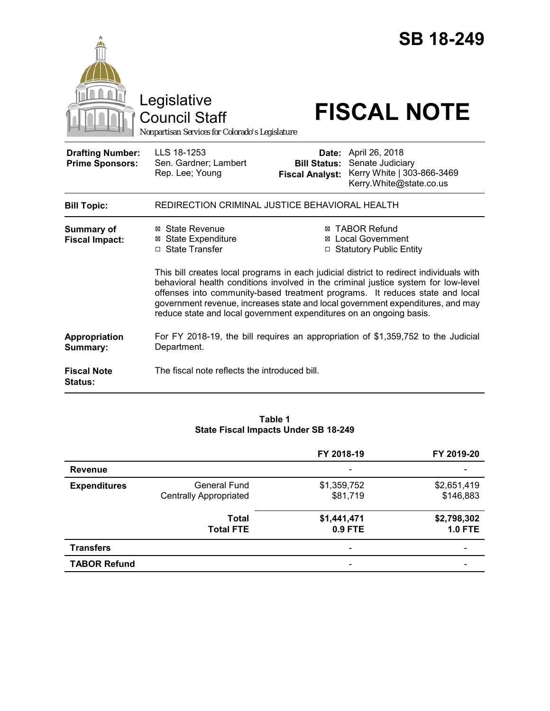|                                                   | Legislative<br><b>Council Staff</b><br>Nonpartisan Services for Colorado's Legislature                                                                                                                                                                                                                                                                                                                                 |                                               | <b>SB 18-249</b><br><b>FISCAL NOTE</b>                                                                   |  |
|---------------------------------------------------|------------------------------------------------------------------------------------------------------------------------------------------------------------------------------------------------------------------------------------------------------------------------------------------------------------------------------------------------------------------------------------------------------------------------|-----------------------------------------------|----------------------------------------------------------------------------------------------------------|--|
| <b>Drafting Number:</b><br><b>Prime Sponsors:</b> | LLS 18-1253<br>Sen. Gardner; Lambert<br>Rep. Lee; Young                                                                                                                                                                                                                                                                                                                                                                | <b>Bill Status:</b><br><b>Fiscal Analyst:</b> | <b>Date:</b> April 26, 2018<br>Senate Judiciary<br>Kerry White   303-866-3469<br>Kerry.White@state.co.us |  |
| <b>Bill Topic:</b>                                | REDIRECTION CRIMINAL JUSTICE BEHAVIORAL HEALTH                                                                                                                                                                                                                                                                                                                                                                         |                                               |                                                                                                          |  |
| <b>Summary of</b><br><b>Fiscal Impact:</b>        | ⊠ State Revenue<br><b>⊠</b> State Expenditure<br>□ State Transfer                                                                                                                                                                                                                                                                                                                                                      |                                               | <b>⊠ TABOR Refund</b><br><b>⊠</b> Local Government<br>□ Statutory Public Entity                          |  |
|                                                   | This bill creates local programs in each judicial district to redirect individuals with<br>behavioral health conditions involved in the criminal justice system for low-level<br>offenses into community-based treatment programs. It reduces state and local<br>government revenue, increases state and local government expenditures, and may<br>reduce state and local government expenditures on an ongoing basis. |                                               |                                                                                                          |  |
| Appropriation<br>Summary:                         | Department.                                                                                                                                                                                                                                                                                                                                                                                                            |                                               | For FY 2018-19, the bill requires an appropriation of \$1,359,752 to the Judicial                        |  |
| <b>Fiscal Note</b><br><b>Status:</b>              | The fiscal note reflects the introduced bill.                                                                                                                                                                                                                                                                                                                                                                          |                                               |                                                                                                          |  |

#### **Table 1 State Fiscal Impacts Under SB 18-249**

|                     |                                                      | FY 2018-19              | FY 2019-20                    |
|---------------------|------------------------------------------------------|-------------------------|-------------------------------|
| <b>Revenue</b>      |                                                      |                         |                               |
| <b>Expenditures</b> | <b>General Fund</b><br><b>Centrally Appropriated</b> | \$1,359,752<br>\$81,719 | \$2,651,419<br>\$146,883      |
|                     | Total<br><b>Total FTE</b>                            | \$1,441,471<br>0.9 FTE  | \$2,798,302<br><b>1.0 FTE</b> |
| <b>Transfers</b>    |                                                      |                         |                               |
| <b>TABOR Refund</b> |                                                      |                         |                               |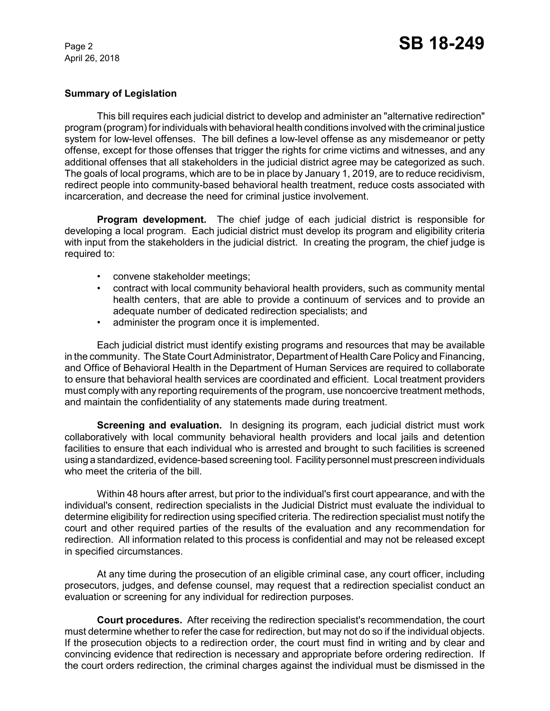# **Summary of Legislation**

This bill requires each judicial district to develop and administer an "alternative redirection" program (program) for individuals with behavioral health conditions involved with the criminal justice system for low-level offenses. The bill defines a low-level offense as any misdemeanor or petty offense, except for those offenses that trigger the rights for crime victims and witnesses, and any additional offenses that all stakeholders in the judicial district agree may be categorized as such. The goals of local programs, which are to be in place by January 1, 2019, are to reduce recidivism, redirect people into community-based behavioral health treatment, reduce costs associated with incarceration, and decrease the need for criminal justice involvement.

**Program development.** The chief judge of each judicial district is responsible for developing a local program. Each judicial district must develop its program and eligibility criteria with input from the stakeholders in the judicial district. In creating the program, the chief judge is required to:

- convene stakeholder meetings;
- contract with local community behavioral health providers, such as community mental health centers, that are able to provide a continuum of services and to provide an adequate number of dedicated redirection specialists; and
- administer the program once it is implemented.

Each judicial district must identify existing programs and resources that may be available in the community. The State Court Administrator, Department of Health Care Policy and Financing, and Office of Behavioral Health in the Department of Human Services are required to collaborate to ensure that behavioral health services are coordinated and efficient. Local treatment providers must comply with any reporting requirements of the program, use noncoercive treatment methods, and maintain the confidentiality of any statements made during treatment.

**Screening and evaluation.** In designing its program, each judicial district must work collaboratively with local community behavioral health providers and local jails and detention facilities to ensure that each individual who is arrested and brought to such facilities is screened using a standardized, evidence-based screening tool. Facility personnel must prescreen individuals who meet the criteria of the bill.

Within 48 hours after arrest, but prior to the individual's first court appearance, and with the individual's consent, redirection specialists in the Judicial District must evaluate the individual to determine eligibility for redirection using specified criteria. The redirection specialist must notify the court and other required parties of the results of the evaluation and any recommendation for redirection. All information related to this process is confidential and may not be released except in specified circumstances.

At any time during the prosecution of an eligible criminal case, any court officer, including prosecutors, judges, and defense counsel, may request that a redirection specialist conduct an evaluation or screening for any individual for redirection purposes.

**Court procedures.** After receiving the redirection specialist's recommendation, the court must determine whether to refer the case for redirection, but may not do so if the individual objects. If the prosecution objects to a redirection order, the court must find in writing and by clear and convincing evidence that redirection is necessary and appropriate before ordering redirection. If the court orders redirection, the criminal charges against the individual must be dismissed in the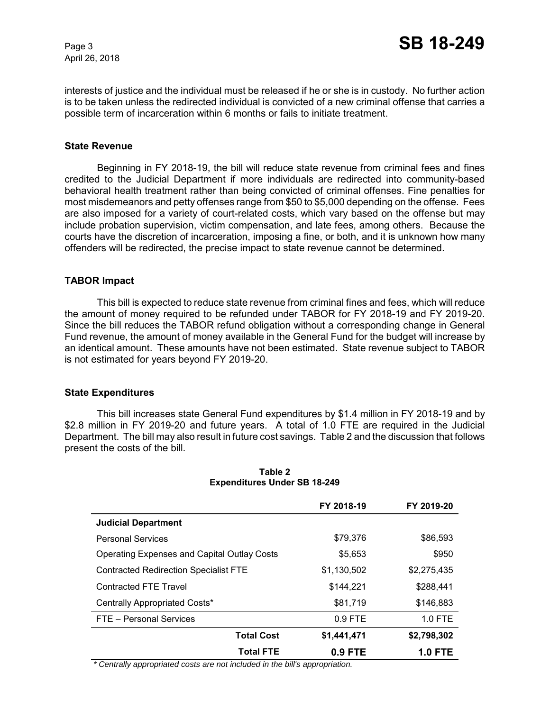interests of justice and the individual must be released if he or she is in custody. No further action is to be taken unless the redirected individual is convicted of a new criminal offense that carries a possible term of incarceration within 6 months or fails to initiate treatment.

## **State Revenue**

Beginning in FY 2018-19, the bill will reduce state revenue from criminal fees and fines credited to the Judicial Department if more individuals are redirected into community-based behavioral health treatment rather than being convicted of criminal offenses. Fine penalties for most misdemeanors and petty offenses range from \$50 to \$5,000 depending on the offense. Fees are also imposed for a variety of court-related costs, which vary based on the offense but may include probation supervision, victim compensation, and late fees, among others. Because the courts have the discretion of incarceration, imposing a fine, or both, and it is unknown how many offenders will be redirected, the precise impact to state revenue cannot be determined.

## **TABOR Impact**

This bill is expected to reduce state revenue from criminal fines and fees, which will reduce the amount of money required to be refunded under TABOR for FY 2018-19 and FY 2019-20. Since the bill reduces the TABOR refund obligation without a corresponding change in General Fund revenue, the amount of money available in the General Fund for the budget will increase by an identical amount. These amounts have not been estimated. State revenue subject to TABOR is not estimated for years beyond FY 2019-20.

## **State Expenditures**

This bill increases state General Fund expenditures by \$1.4 million in FY 2018-19 and by \$2.8 million in FY 2019-20 and future years. A total of 1.0 FTE are required in the Judicial Department. The bill may also result in future cost savings. Table 2 and the discussion that follows present the costs of the bill.

|                                                    | FY 2018-19  | FY 2019-20     |
|----------------------------------------------------|-------------|----------------|
| <b>Judicial Department</b>                         |             |                |
| <b>Personal Services</b>                           | \$79,376    | \$86,593       |
| <b>Operating Expenses and Capital Outlay Costs</b> | \$5,653     | \$950          |
| <b>Contracted Redirection Specialist FTE</b>       | \$1,130,502 | \$2,275,435    |
| <b>Contracted FTE Travel</b>                       | \$144,221   | \$288,441      |
| Centrally Appropriated Costs*                      | \$81,719    | \$146,883      |
| FTE - Personal Services                            | $0.9$ FTE   | 1.0 FTE        |
| <b>Total Cost</b>                                  | \$1,441,471 | \$2,798,302    |
| <b>Total FTE</b>                                   | 0.9 FTE     | <b>1.0 FTE</b> |

### **Table 2 Expenditures Under SB 18-249**

 *\* Centrally appropriated costs are not included in the bill's appropriation.*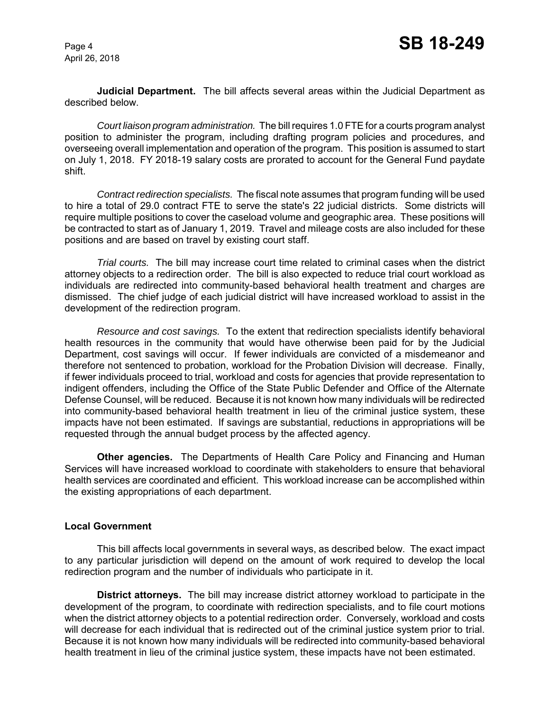**Judicial Department.** The bill affects several areas within the Judicial Department as described below.

*Court liaison program administration.*The bill requires 1.0 FTE for a courts program analyst position to administer the program, including drafting program policies and procedures, and overseeing overall implementation and operation of the program. This position is assumed to start on July 1, 2018. FY 2018-19 salary costs are prorated to account for the General Fund paydate shift.

*Contract redirection specialists.* The fiscal note assumes that program funding will be used to hire a total of 29.0 contract FTE to serve the state's 22 judicial districts. Some districts will require multiple positions to cover the caseload volume and geographic area. These positions will be contracted to start as of January 1, 2019. Travel and mileage costs are also included for these positions and are based on travel by existing court staff.

*Trial courts.* The bill may increase court time related to criminal cases when the district attorney objects to a redirection order. The bill is also expected to reduce trial court workload as individuals are redirected into community-based behavioral health treatment and charges are dismissed. The chief judge of each judicial district will have increased workload to assist in the development of the redirection program.

*Resource and cost savings.* To the extent that redirection specialists identify behavioral health resources in the community that would have otherwise been paid for by the Judicial Department, cost savings will occur. If fewer individuals are convicted of a misdemeanor and therefore not sentenced to probation, workload for the Probation Division will decrease. Finally, if fewer individuals proceed to trial, workload and costs for agencies that provide representation to indigent offenders, including the Office of the State Public Defender and Office of the Alternate Defense Counsel, will be reduced. Because it is not known how many individuals will be redirected into community-based behavioral health treatment in lieu of the criminal justice system, these impacts have not been estimated. If savings are substantial, reductions in appropriations will be requested through the annual budget process by the affected agency.

**Other agencies.** The Departments of Health Care Policy and Financing and Human Services will have increased workload to coordinate with stakeholders to ensure that behavioral health services are coordinated and efficient. This workload increase can be accomplished within the existing appropriations of each department.

## **Local Government**

This bill affects local governments in several ways, as described below. The exact impact to any particular jurisdiction will depend on the amount of work required to develop the local redirection program and the number of individuals who participate in it.

**District attorneys.** The bill may increase district attorney workload to participate in the development of the program, to coordinate with redirection specialists, and to file court motions when the district attorney objects to a potential redirection order. Conversely, workload and costs will decrease for each individual that is redirected out of the criminal justice system prior to trial. Because it is not known how many individuals will be redirected into community-based behavioral health treatment in lieu of the criminal justice system, these impacts have not been estimated.